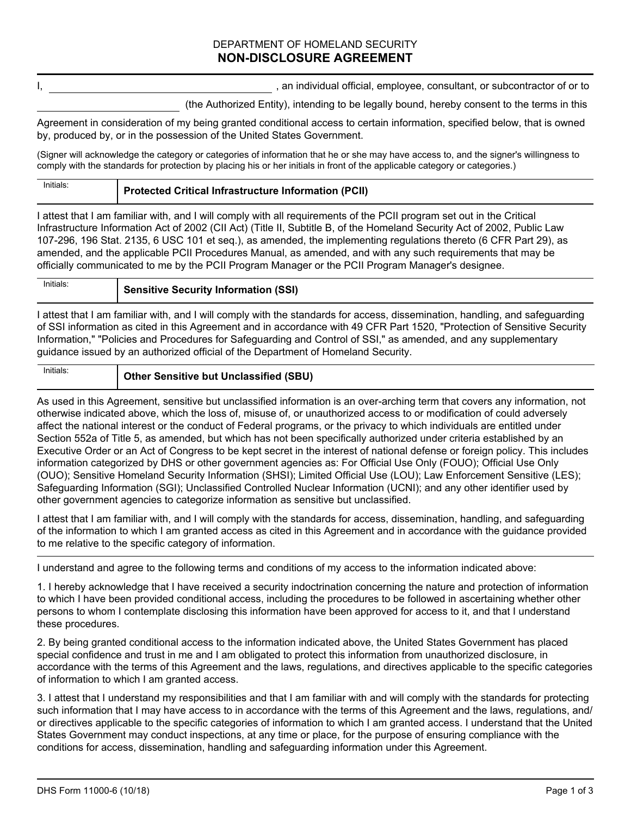## DEPARTMENT OF HOMELAND SECURITY **NON-DISCLOSURE AGREEMENT**

I, the same of the state of the state of the state of the state of the state of the state of the state of the state of the state of the state of the state of the state of the state of the state of the state of the state of

(the Authorized Entity), intending to be legally bound, hereby consent to the terms in this

Agreement in consideration of my being granted conditional access to certain information, specified below, that is owned by, produced by, or in the possession of the United States Government.

(Signer will acknowledge the category or categories of information that he or she may have access to, and the signer's willingness to comply with the standards for protection by placing his or her initials in front of the applicable category or categories.)

## **Protected Critical Infrastructure Information (PCII)**

I attest that I am familiar with, and I will comply with all requirements of the PCII program set out in the Critical Infrastructure Information Act of 2002 (CII Act) (Title II, Subtitle B, of the Homeland Security Act of 2002, Public Law 107-296, 196 Stat. 2135, 6 USC 101 et seq.), as amended, the implementing regulations thereto (6 CFR Part 29), as amended, and the applicable PCII Procedures Manual, as amended, and with any such requirements that may be officially communicated to me by the PCII Program Manager or the PCII Program Manager's designee.

Initials:

## **Initials:** Sensitive Security Information (SSI)

I attest that I am familiar with, and I will comply with the standards for access, dissemination, handling, and safeguarding of SSI information as cited in this Agreement and in accordance with 49 CFR Part 1520, "Protection of Sensitive Security Information," "Policies and Procedures for Safeguarding and Control of SSI," as amended, and any supplementary guidance issued by an authorized official of the Department of Homeland Security.

## **Initials: Other Sensitive but Unclassified (SBU)**

As used in this Agreement, sensitive but unclassified information is an over-arching term that covers any information, not otherwise indicated above, which the loss of, misuse of, or unauthorized access to or modification of could adversely affect the national interest or the conduct of Federal programs, or the privacy to which individuals are entitled under Section 552a of Title 5, as amended, but which has not been specifically authorized under criteria established by an Executive Order or an Act of Congress to be kept secret in the interest of national defense or foreign policy. This includes information categorized by DHS or other government agencies as: For Official Use Only (FOUO); Official Use Only (OUO); Sensitive Homeland Security Information (SHSI); Limited Official Use (LOU); Law Enforcement Sensitive (LES); Safeguarding Information (SGI); Unclassified Controlled Nuclear Information (UCNI); and any other identifier used by other government agencies to categorize information as sensitive but unclassified.

I attest that I am familiar with, and I will comply with the standards for access, dissemination, handling, and safeguarding of the information to which I am granted access as cited in this Agreement and in accordance with the guidance provided to me relative to the specific category of information.

I understand and agree to the following terms and conditions of my access to the information indicated above:

1. I hereby acknowledge that I have received a security indoctrination concerning the nature and protection of information to which I have been provided conditional access, including the procedures to be followed in ascertaining whether other persons to whom I contemplate disclosing this information have been approved for access to it, and that I understand these procedures.

2. By being granted conditional access to the information indicated above, the United States Government has placed special confidence and trust in me and I am obligated to protect this information from unauthorized disclosure, in accordance with the terms of this Agreement and the laws, regulations, and directives applicable to the specific categories of information to which I am granted access.

3. I attest that I understand my responsibilities and that I am familiar with and will comply with the standards for protecting such information that I may have access to in accordance with the terms of this Agreement and the laws, regulations, and/ or directives applicable to the specific categories of information to which I am granted access. I understand that the United States Government may conduct inspections, at any time or place, for the purpose of ensuring compliance with the conditions for access, dissemination, handling and safeguarding information under this Agreement.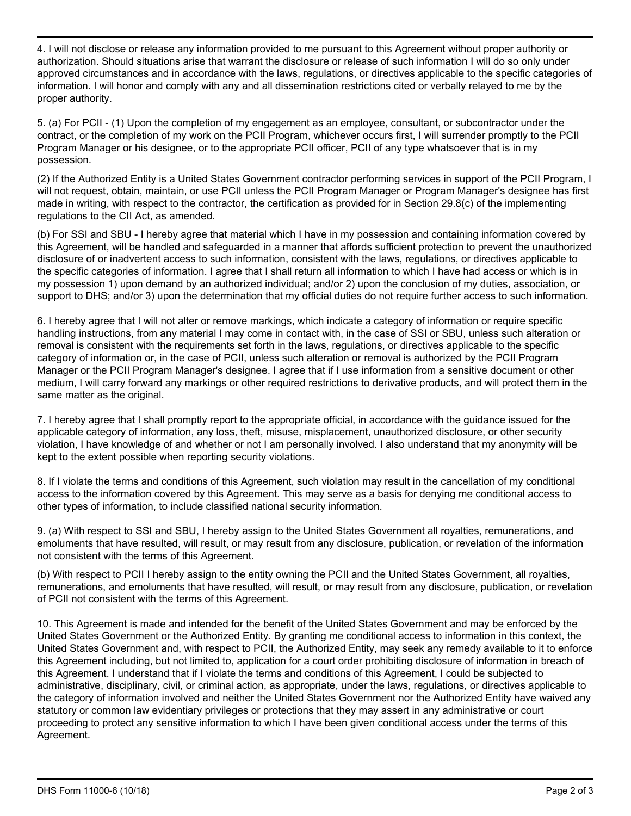4. I will not disclose or release any information provided to me pursuant to this Agreement without proper authority or authorization. Should situations arise that warrant the disclosure or release of such information I will do so only under approved circumstances and in accordance with the laws, regulations, or directives applicable to the specific categories of information. I will honor and comply with any and all dissemination restrictions cited or verbally relayed to me by the proper authority.

5. (a) For PCII - (1) Upon the completion of my engagement as an employee, consultant, or subcontractor under the contract, or the completion of my work on the PCII Program, whichever occurs first, I will surrender promptly to the PCII Program Manager or his designee, or to the appropriate PCII officer, PCII of any type whatsoever that is in my possession.

(2) If the Authorized Entity is a United States Government contractor performing services in support of the PCII Program, I will not request, obtain, maintain, or use PCII unless the PCII Program Manager or Program Manager's designee has first made in writing, with respect to the contractor, the certification as provided for in Section 29.8(c) of the implementing regulations to the CII Act, as amended.

(b) For SSI and SBU - I hereby agree that material which I have in my possession and containing information covered by this Agreement, will be handled and safeguarded in a manner that affords sufficient protection to prevent the unauthorized disclosure of or inadvertent access to such information, consistent with the laws, regulations, or directives applicable to the specific categories of information. I agree that I shall return all information to which I have had access or which is in my possession 1) upon demand by an authorized individual; and/or 2) upon the conclusion of my duties, association, or support to DHS; and/or 3) upon the determination that my official duties do not require further access to such information.

6. I hereby agree that I will not alter or remove markings, which indicate a category of information or require specific handling instructions, from any material I may come in contact with, in the case of SSI or SBU, unless such alteration or removal is consistent with the requirements set forth in the laws, regulations, or directives applicable to the specific category of information or, in the case of PCII, unless such alteration or removal is authorized by the PCII Program Manager or the PCII Program Manager's designee. I agree that if I use information from a sensitive document or other medium, I will carry forward any markings or other required restrictions to derivative products, and will protect them in the same matter as the original.

7. I hereby agree that I shall promptly report to the appropriate official, in accordance with the guidance issued for the applicable category of information, any loss, theft, misuse, misplacement, unauthorized disclosure, or other security violation, I have knowledge of and whether or not I am personally involved. I also understand that my anonymity will be kept to the extent possible when reporting security violations.

8. If I violate the terms and conditions of this Agreement, such violation may result in the cancellation of my conditional access to the information covered by this Agreement. This may serve as a basis for denying me conditional access to other types of information, to include classified national security information.

9. (a) With respect to SSI and SBU, I hereby assign to the United States Government all royalties, remunerations, and emoluments that have resulted, will result, or may result from any disclosure, publication, or revelation of the information not consistent with the terms of this Agreement.

(b) With respect to PCII I hereby assign to the entity owning the PCII and the United States Government, all royalties, remunerations, and emoluments that have resulted, will result, or may result from any disclosure, publication, or revelation of PCII not consistent with the terms of this Agreement.

10. This Agreement is made and intended for the benefit of the United States Government and may be enforced by the United States Government or the Authorized Entity. By granting me conditional access to information in this context, the United States Government and, with respect to PCII, the Authorized Entity, may seek any remedy available to it to enforce this Agreement including, but not limited to, application for a court order prohibiting disclosure of information in breach of this Agreement. I understand that if I violate the terms and conditions of this Agreement, I could be subjected to administrative, disciplinary, civil, or criminal action, as appropriate, under the laws, regulations, or directives applicable to the category of information involved and neither the United States Government nor the Authorized Entity have waived any statutory or common law evidentiary privileges or protections that they may assert in any administrative or court proceeding to protect any sensitive information to which I have been given conditional access under the terms of this Agreement.